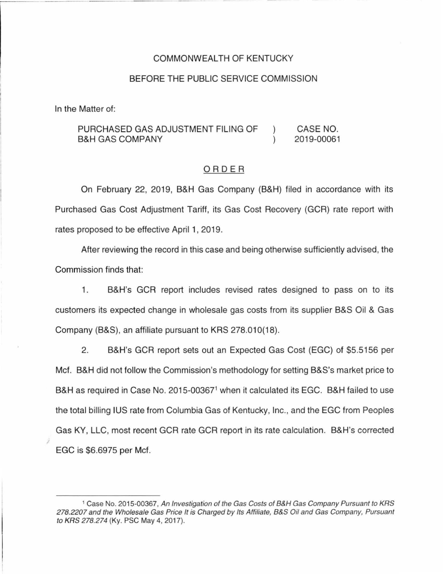## COMMONWEALTH OF KENTUCKY

### BEFORE THE PUBLIC SERVICE COMMISSION

In the Matter of:

#### PURCHASED GAS ADJUSTMENT FILING OF CASE NO.  $\mathcal{E}$ B&H GAS COMPANY 2019-00061  $\mathcal{L}$

### ORDER

On February 22, 2019, B&H Gas Company (B&H) filed in accordance with its Purchased Gas Cost Adjustment Tariff, its Gas Cost Recovery (GCR) rate report with rates proposed to be effective April 1, 2019.

After reviewing the record in this case and being otherwise sufficiently advised, the Commission finds that:

1. B&H's GCR report includes revised rates designed to pass on to its customers its expected change in wholesale gas costs from its supplier B&S Oil & Gas Company (B&S), an affiliate pursuant to KRS 278.010(18).

2. B&H's GCR report sets out an Expected Gas Cost (EGG) of \$5.5156 per Met. B&H did not follow the Commission's methodology for setting B&S's market price to B&H as required in Case No. 2015-00367<sup>1</sup> when it calculated its EGC. B&H failed to use the total billing IUS rate from Columbia Gas of Kentucky, Inc., and the EGG from Peoples Gas KY, LLC, most recent GCR rate GCR report in its rate calculation. B&H's corrected EGC is \$6.6975 per Met.

<sup>1</sup>Case No. 2015-00367, An Investigation of the Gas Costs of B&H Gas Company Pursuant to KRS 278.2207 and the Wholesale Gas Price It is Charged by Its Affiliate, B&S Oil and Gas Company, Pursuant to KRS 278.274 (Ky. PSC May 4, 2017).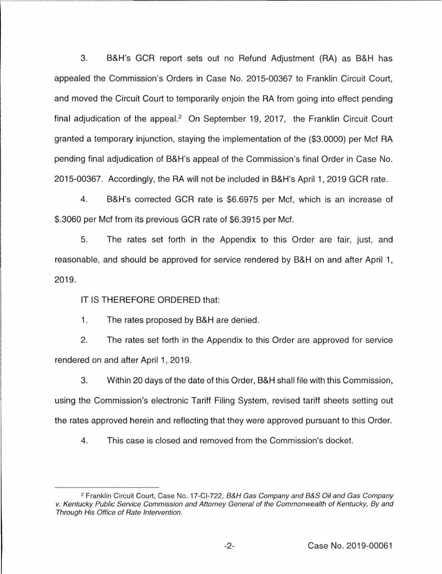3. B&H's GCR report sets out no Refund Adjustment (RA) as B&H has appealed the Commission's Orders in Case No. 2015-00367 to Franklin Circuit Court, and moved the Circuit Court to temporarily enjoin the RA from going into effect pending final adjudication of the appeal.<sup>2</sup> On September 19, 2017, the Franklin Circuit Court granted a temporary injunction, staying the implementation of the (\$3.0000) per Mcf RA pending final adjudication of B&H's appeal of the Commission's final Order in Case No. 2015-00367. Accordingly, the RA will not be included in B&H's April 1, 2019 GCR rate.

4. B&H's corrected GCR rate is \$6.6975 per Mcf, which is an increase of \$.3060 per Mcf from its previous GCR rate of \$6.3915 per Mcf.

5. The rates set forth in the Appendix to this Order are fair, just, and reasonable, and should be approved for service rendered by B&H on and after April 1, 2019.

IT IS THEREFORE ORDERED that:

1. The rates proposed by B&H are denied.

2. The rates set forth in the Appendix to this Order are approved for service rendered on and after April 1, 2019.

3. Within 20 days of the date of this Order, B&H shall file with this Commission, using the Commission's electronic Tariff Filing System, revised tariff sheets setting out the rates approved herein and reflecting that they were approved pursuant to this Order.

4. This case is closed and removed from the Commission's docket.

<sup>&</sup>lt;sup>2</sup> Franklin Circuit Court, Case No. 17-Cl-722, B&H Gas Company and B&S Oil and Gas Company v. Kentucky Public Service Commission and Attorney General of the Commonwealth of Kentucky, By and Through His Office of Rate Intervention.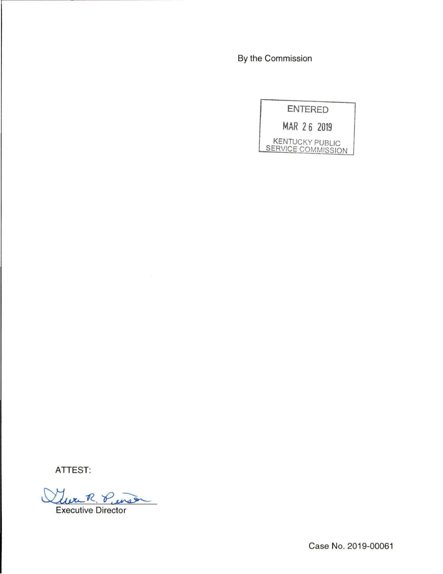By the Commission



**ATTEST:** 

Durch Executive Director  $P_{unper}$ 

Case No. 2019-00061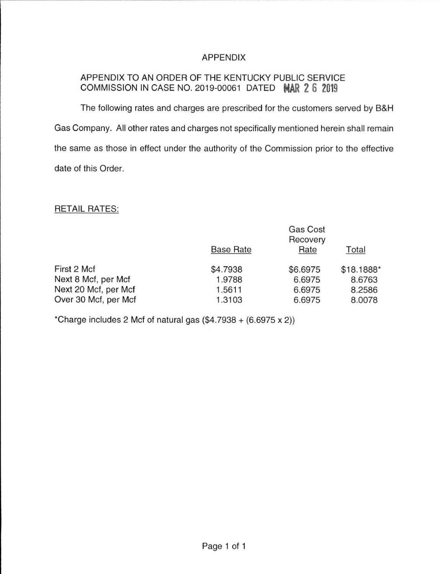# APPENDIX

# APPENDIX TO AN ORDER OF THE KENTUCKY PUBLIC SERVICE COMMISSION IN CASE NO. 2019-00061 DATED **MAR 2 6 2019**

The following rates and charges are prescribed for the customers served by B&H Gas Company. All other rates and charges not specifically mentioned herein shall remain the same as those in effect under the authority of the Commission prior to the effective date of this Order.

## RETAIL RATES:

|                      |                  | Gas Cost<br>Recovery |            |  |
|----------------------|------------------|----------------------|------------|--|
|                      | <b>Base Rate</b> | Rate                 | Total      |  |
| First 2 Mcf          | \$4.7938         | \$6.6975             | \$18.1888* |  |
| Next 8 Mcf, per Mcf  | 1.9788           | 6.6975               | 8.6763     |  |
| Next 20 Mcf, per Mcf | 1.5611           | 6.6975               | 8.2586     |  |
| Over 30 Mcf, per Mcf | 1.3103           | 6.6975               | 8.0078     |  |

\*Charge includes 2 Mcf of natural gas  $(\$4.7938 + (6.6975 \times 2))$